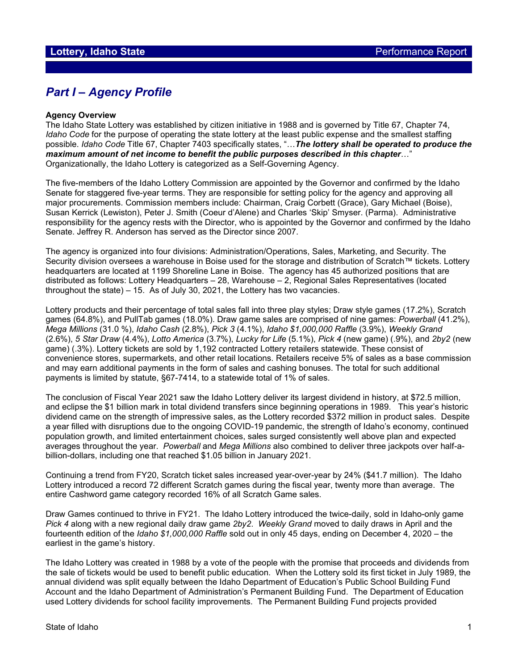# *Part I – Agency Profile*

#### **Agency Overview**

The Idaho State Lottery was established by citizen initiative in 1988 and is governed by Title 67, Chapter 74, *Idaho Code* for the purpose of operating the state lottery at the least public expense and the smallest staffing possible. *Idaho Code* Title 67, Chapter 7403 specifically states, "…*The lottery shall be operated to produce the maximum amount of net income to benefit the public purposes described in this chapter*…" Organizationally, the Idaho Lottery is categorized as a Self-Governing Agency.

The five-members of the Idaho Lottery Commission are appointed by the Governor and confirmed by the Idaho Senate for staggered five-year terms. They are responsible for setting policy for the agency and approving all major procurements. Commission members include: Chairman, Craig Corbett (Grace), Gary Michael (Boise), Susan Kerrick (Lewiston), Peter J. Smith (Coeur d'Alene) and Charles 'Skip' Smyser. (Parma). Administrative responsibility for the agency rests with the Director, who is appointed by the Governor and confirmed by the Idaho Senate. Jeffrey R. Anderson has served as the Director since 2007.

The agency is organized into four divisions: Administration/Operations, Sales, Marketing, and Security. The Security division oversees a warehouse in Boise used for the storage and distribution of Scratch™ tickets. Lottery headquarters are located at 1199 Shoreline Lane in Boise. The agency has 45 authorized positions that are distributed as follows: Lottery Headquarters – 28, Warehouse – 2, Regional Sales Representatives (located throughout the state) – 15. As of July 30, 2021, the Lottery has two vacancies.

Lottery products and their percentage of total sales fall into three play styles; Draw style games (17.2%), Scratch games (64.8%), and PullTab games (18.0%). Draw game sales are comprised of nine games: *Powerball* (41.2%), *Mega Millions* (31.0 %), *Idaho Cash* (2.8%), *Pick 3* (4.1%), *Idaho \$1,000,000 Raffle* (3.9%), *Weekly Grand* (2.6%), *5 Star Draw* (4.4%), *Lotto America* (3.7%), *Lucky for Life* (5.1%), *Pick 4* (new game) (.9%), and *2by2* (new game) (.3%). Lottery tickets are sold by 1,192 contracted Lottery retailers statewide. These consist of convenience stores, supermarkets, and other retail locations. Retailers receive 5% of sales as a base commission and may earn additional payments in the form of sales and cashing bonuses. The total for such additional payments is limited by statute, §67-7414, to a statewide total of 1% of sales.

The conclusion of Fiscal Year 2021 saw the Idaho Lottery deliver its largest dividend in history, at \$72.5 million, and eclipse the \$1 billion mark in total dividend transfers since beginning operations in 1989. This year's historic dividend came on the strength of impressive sales, as the Lottery recorded \$372 million in product sales. Despite a year filled with disruptions due to the ongoing COVID-19 pandemic, the strength of Idaho's economy, continued population growth, and limited entertainment choices, sales surged consistently well above plan and expected averages throughout the year. *Powerball* and *Mega Millions* also combined to deliver three jackpots over half-abillion-dollars, including one that reached \$1.05 billion in January 2021.

Continuing a trend from FY20, Scratch ticket sales increased year-over-year by 24% (\$41.7 million). The Idaho Lottery introduced a record 72 different Scratch games during the fiscal year, twenty more than average. The entire Cashword game category recorded 16% of all Scratch Game sales.

Draw Games continued to thrive in FY21. The Idaho Lottery introduced the twice-daily, sold in Idaho-only game *Pick 4* along with a new regional daily draw game *2by2*. *Weekly Grand* moved to daily draws in April and the fourteenth edition of the *Idaho \$1,000,000 Raffle* sold out in only 45 days, ending on December 4, 2020 – the earliest in the game's history.

The Idaho Lottery was created in 1988 by a vote of the people with the promise that proceeds and dividends from the sale of tickets would be used to benefit public education. When the Lottery sold its first ticket in July 1989, the annual dividend was split equally between the Idaho Department of Education's Public School Building Fund Account and the Idaho Department of Administration's Permanent Building Fund. The Department of Education used Lottery dividends for school facility improvements. The Permanent Building Fund projects provided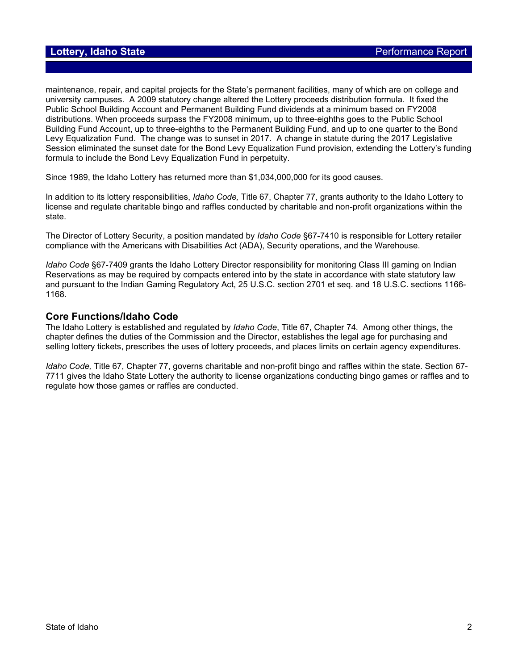maintenance, repair, and capital projects for the State's permanent facilities, many of which are on college and university campuses. A 2009 statutory change altered the Lottery proceeds distribution formula. It fixed the Public School Building Account and Permanent Building Fund dividends at a minimum based on FY2008 distributions. When proceeds surpass the FY2008 minimum, up to three-eighths goes to the Public School Building Fund Account, up to three-eighths to the Permanent Building Fund, and up to one quarter to the Bond Levy Equalization Fund. The change was to sunset in 2017. A change in statute during the 2017 Legislative Session eliminated the sunset date for the Bond Levy Equalization Fund provision, extending the Lottery's funding formula to include the Bond Levy Equalization Fund in perpetuity.

Since 1989, the Idaho Lottery has returned more than \$1,034,000,000 for its good causes.

In addition to its lottery responsibilities, *Idaho Code,* Title 67, Chapter 77, grants authority to the Idaho Lottery to license and regulate charitable bingo and raffles conducted by charitable and non-profit organizations within the state.

The Director of Lottery Security, a position mandated by *Idaho Code* §67-7410 is responsible for Lottery retailer compliance with the Americans with Disabilities Act (ADA), Security operations, and the Warehouse.

*Idaho Code* §67-7409 grants the Idaho Lottery Director responsibility for monitoring Class III gaming on Indian Reservations as may be required by compacts entered into by the state in accordance with state statutory law and pursuant to the Indian Gaming Regulatory Act, 25 U.S.C. section 2701 et seq. and 18 U.S.C. sections 1166- 1168.

#### **Core Functions/Idaho Code**

The Idaho Lottery is established and regulated by *Idaho Code*, Title 67, Chapter 74*.* Among other things, the chapter defines the duties of the Commission and the Director, establishes the legal age for purchasing and selling lottery tickets, prescribes the uses of lottery proceeds, and places limits on certain agency expenditures.

*Idaho Code,* Title 67, Chapter 77, governs charitable and non-profit bingo and raffles within the state. Section 67- 7711 gives the Idaho State Lottery the authority to license organizations conducting bingo games or raffles and to regulate how those games or raffles are conducted.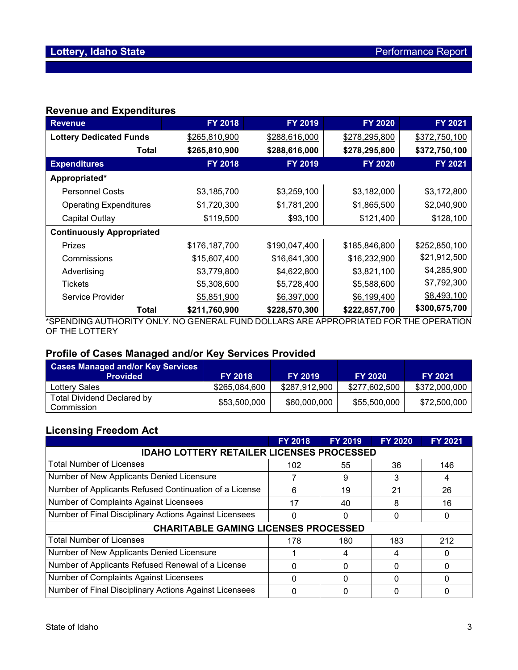## **Revenue and Expenditures**

| <b>Revenue</b>                   | <b>FY 2018</b> | FY 2019       | <b>FY 2020</b>                   | <b>FY 2021</b>             |
|----------------------------------|----------------|---------------|----------------------------------|----------------------------|
| <b>Lottery Dedicated Funds</b>   | \$265,810,900  | \$288,616,000 | \$278,295,800                    | \$372,750,100              |
| Total                            | \$265,810,900  | \$288,616,000 | \$278,295,800                    | \$372,750,100              |
| <b>Expenditures</b>              | <b>FY 2018</b> | FY 2019       | <b>FY 2020</b>                   | FY 2021                    |
| Appropriated*                    |                |               |                                  |                            |
| <b>Personnel Costs</b>           | \$3,185,700    | \$3,259,100   | \$3,182,000                      | \$3,172,800                |
| <b>Operating Expenditures</b>    | \$1,720,300    | \$1,781,200   | \$1,865,500                      | \$2,040,900                |
| Capital Outlay                   | \$119,500      | \$93,100      | \$121,400                        | \$128,100                  |
| <b>Continuously Appropriated</b> |                |               |                                  |                            |
| <b>Prizes</b>                    | \$176,187,700  | \$190,047,400 | \$185,846,800                    | \$252,850,100              |
| Commissions                      | \$15,607,400   | \$16,641,300  | \$16,232,900                     | \$21,912,500               |
| Advertising                      | \$3,779,800    | \$4,622,800   | \$3,821,100                      | \$4,285,900                |
| <b>Tickets</b>                   | \$5,308,600    | \$5,728,400   | \$5,588,600                      | \$7,792,300                |
| <b>Service Provider</b>          | \$5,851,900    | \$6,397,000   | \$6,199,400                      | \$8,493,100                |
| Total                            | \$211,760,900  | \$228,570,300 | \$222,857,700<br>$\overline{10}$ | \$300,675,700<br>$\bigcap$ |

\*SPENDING AUTHORITY ONLY. NO GENERAL FUND DOLLARS ARE APPROPRIATED FOR THE OPERATION OF THE LOTTERY

### **Profile of Cases Managed and/or Key Services Provided**

| <b>Cases Managed and/or Key Services</b><br><b>Provided</b> | <b>FY 2018</b> | <b>FY 2019</b> | <b>FY 2020</b> | <b>FY 2021</b> |
|-------------------------------------------------------------|----------------|----------------|----------------|----------------|
| Lottery Sales                                               | \$265,084,600  | \$287,912,900  | \$277.602.500  | \$372,000,000  |
| <b>Total Dividend Declared by</b><br>Commission             | \$53,500,000   | \$60,000,000   | \$55,500,000   | \$72,500,000   |

## **Licensing Freedom Act**

|                                                        | <b>FY 2018</b> | <b>FY 2019</b> | <b>FY 2020</b> | FY 2021 |  |  |  |  |  |
|--------------------------------------------------------|----------------|----------------|----------------|---------|--|--|--|--|--|
| <b>IDAHO LOTTERY RETAILER LICENSES PROCESSED</b>       |                |                |                |         |  |  |  |  |  |
| <b>Total Number of Licenses</b>                        | 102            | 55             | 36             | 146     |  |  |  |  |  |
| Number of New Applicants Denied Licensure              |                | 9              | 3              | 4       |  |  |  |  |  |
| Number of Applicants Refused Continuation of a License | 6              | 19             | 21             | 26      |  |  |  |  |  |
| Number of Complaints Against Licensees                 | 17             | 40             |                | 16      |  |  |  |  |  |
| Number of Final Disciplinary Actions Against Licensees |                | 0              |                |         |  |  |  |  |  |
| <b>CHARITABLE GAMING LICENSES PROCESSED</b>            |                |                |                |         |  |  |  |  |  |
| <b>Total Number of Licenses</b>                        | 178            | 180            | 183            | 212     |  |  |  |  |  |
| Number of New Applicants Denied Licensure              |                | 4              |                |         |  |  |  |  |  |
| Number of Applicants Refused Renewal of a License      |                | 0              |                |         |  |  |  |  |  |
| Number of Complaints Against Licensees                 | ი              | 0              |                | 0       |  |  |  |  |  |
| Number of Final Disciplinary Actions Against Licensees |                |                |                |         |  |  |  |  |  |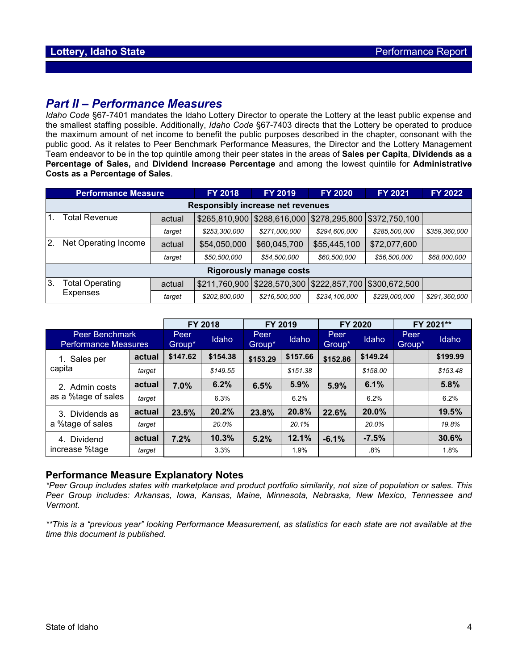# *Part II – Performance Measures*

*Idaho Code* §67-7401 mandates the Idaho Lottery Director to operate the Lottery at the least public expense and the smallest staffing possible. Additionally, *Idaho Code* §67-7403 directs that the Lottery be operated to produce the maximum amount of net income to benefit the public purposes described in the chapter, consonant with the public good. As it relates to Peer Benchmark Performance Measures, the Director and the Lottery Management Team endeavor to be in the top quintile among their peer states in the areas of **Sales per Capita**, **Dividends as a Percentage of Sales,** and **Dividend Increase Percentage** and among the lowest quintile for **Administrative Costs as a Percentage of Sales**.

| <b>Performance Measure</b> |                                          |        | <b>FY 2018</b> | <b>FY 2019</b> | <b>FY 2020</b> | <b>FY 2021</b>                                | FY 2022       |  |  |  |
|----------------------------|------------------------------------------|--------|----------------|----------------|----------------|-----------------------------------------------|---------------|--|--|--|
|                            | <b>Responsibly increase net revenues</b> |        |                |                |                |                                               |               |  |  |  |
| 1.                         | Total Revenue                            | actual | \$265,810,900  |                |                | \$288,616,000   \$278,295,800   \$372,750,100 |               |  |  |  |
|                            |                                          | target | \$253,300,000  | \$271,000,000  | \$294,600,000  | \$285,500,000                                 | \$359,360,000 |  |  |  |
| 2.                         | Net Operating Income                     | actual | \$54,050,000   | \$60,045,700   | \$55,445,100   | \$72,077,600                                  |               |  |  |  |
|                            |                                          | target | \$50,500,000   | \$54,500,000   | \$60,500,000   | \$56,500,000                                  | \$68,000,000  |  |  |  |
|                            | <b>Rigorously manage costs</b>           |        |                |                |                |                                               |               |  |  |  |
| ΙЗ.                        | Total Operating<br>Expenses              | actual | \$211,760,900  |                |                | \$228,570,300 \$222,857,700 \$300,672,500     |               |  |  |  |
|                            |                                          | target | \$202,800,000  | \$216,500,000  | \$234,100,000  | \$229,000,000                                 | \$291,360,000 |  |  |  |

|                                               |        | FY 2018        |          | FY 2019        |          | FY 2020        |          | FY 2021**      |          |
|-----------------------------------------------|--------|----------------|----------|----------------|----------|----------------|----------|----------------|----------|
| Peer Benchmark<br><b>Performance Measures</b> |        | Peer<br>Group* | Idaho    | Peer<br>Group* | Idaho    | Peer<br>Group* | Idaho    | Peer<br>Group* | Idaho    |
| Sales per<br>1.                               | actual | \$147.62       | \$154.38 | \$153.29       | \$157.66 | \$152.86       | \$149.24 |                | \$199.99 |
| capita                                        | target |                | \$149.55 |                | \$151.38 |                | \$158.00 |                | \$153.48 |
| 2. Admin costs                                | actual | 7.0%           | 6.2%     | 6.5%           | 5.9%     | 5.9%           | 6.1%     |                | 5.8%     |
| as a %tage of sales                           | target |                | 6.3%     |                | 6.2%     |                | 6.2%     |                | 6.2%     |
| 3. Dividends as<br>a %tage of sales           | actual | 23.5%          | 20.2%    | 23.8%          | 20.8%    | 22.6%          | 20.0%    |                | 19.5%    |
|                                               | target |                | 20.0%    |                | 20.1%    |                | 20.0%    |                | 19.8%    |
| Dividend<br>4.<br>increase %tage              | actual | 7.2%           | 10.3%    | 5.2%           | 12.1%    | $-6.1%$        | $-7.5%$  |                | 30.6%    |
|                                               | target |                | 3.3%     |                | 1.9%     |                | .8%      |                | 1.8%     |

### **Performance Measure Explanatory Notes**

*\*Peer Group includes states with marketplace and product portfolio similarity, not size of population or sales. This Peer Group includes: Arkansas, Iowa, Kansas, Maine, Minnesota, Nebraska, New Mexico, Tennessee and Vermont.*

*\*\*This is a "previous year" looking Performance Measurement, as statistics for each state are not available at the time this document is published.*